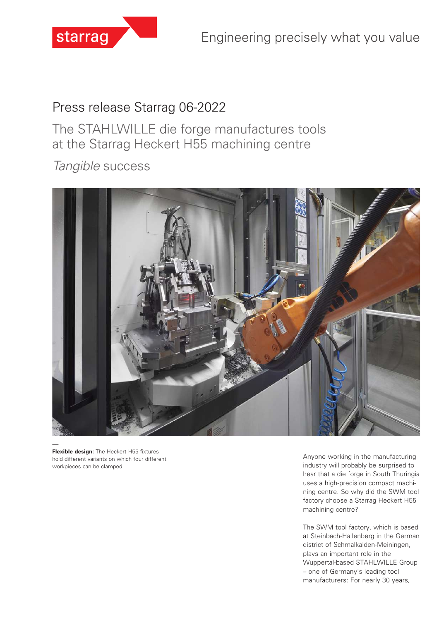

# Press release Starrag 06-2022

The STAHLWILLE die forge manufactures tools at the Starrag Heckert H55 machining centre

*Tangible* success



**Flexible design:** The Heckert H55 fixtures hold different variants on which four different workpieces can be clamped.

Anyone working in the manufacturing industry will probably be surprised to hear that a die forge in South Thuringia uses a high-precision compact machining centre. So why did the SWM tool factory choose a Starrag Heckert H55 machining centre?

The SWM tool factory, which is based at Steinbach-Hallenberg in the German district of Schmalkalden-Meiningen, plays an important role in the Wuppertal-based STAHLWILLE Group – one of Germany's leading tool manufacturers: For nearly 30 years,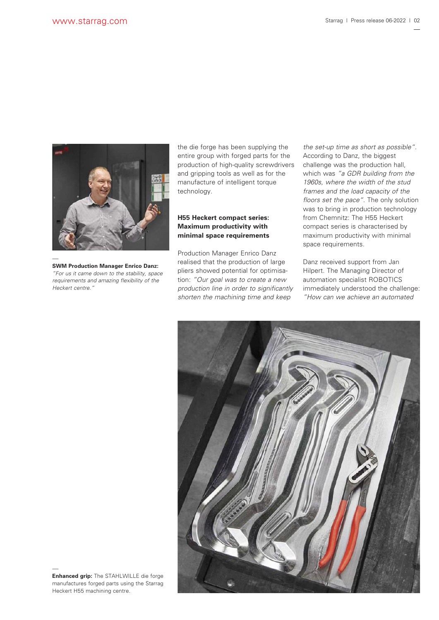

**SWM Production Manager Enrico Danz:**  *"For us it came down to the stability, space requirements and amazing flexibility of the Heckert centre."*

the die forge has been supplying the entire group with forged parts for the production of high-quality screwdrivers and gripping tools as well as for the manufacture of intelligent torque technology.

## **H55 Heckert compact series: Maximum productivity with minimal space requirements**

Production Manager Enrico Danz realised that the production of large pliers showed potential for optimisation: *"Our goal was to create a new production line in order to significantly shorten the machining time and keep* 

*the set-up time as short as possible".* According to Danz, the biggest challenge was the production hall, which was *"a GDR building from the 1960s, where the width of the stud frames and the load capacity of the floors set the pace"*. The only solution was to bring in production technology from Chemnitz: The H55 Heckert compact series is characterised by maximum productivity with minimal space requirements.

Danz received support from Jan Hilpert. The Managing Director of automation specialist ROBOTICS immediately understood the challenge: *"How can we achieve an automated*



**Enhanced grip:** The STAHLWILLE die forge manufactures forged parts using the Starrag Heckert H55 machining centre.